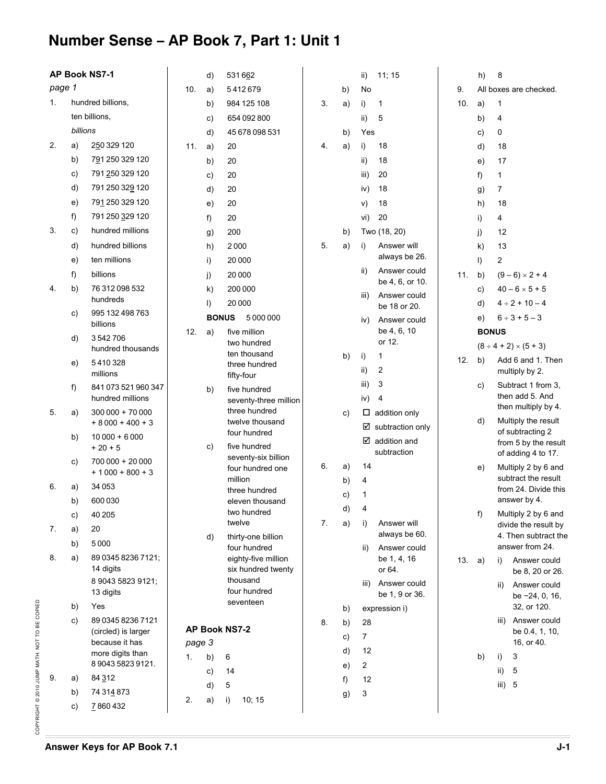## **Number Sense – AP Book 7, Part 1: Unit 1**

|                         |          | AP Book NS7-1                         |        | d)           | 531 662                                 |    |    | ii)          | 11; 15                                  |        | h)           | 8                      |                                             |
|-------------------------|----------|---------------------------------------|--------|--------------|-----------------------------------------|----|----|--------------|-----------------------------------------|--------|--------------|------------------------|---------------------------------------------|
| page 1                  |          | 10.                                   | a)     | 5412679      |                                         | b) | No |              | 9.                                      |        |              | All boxes are checked. |                                             |
| hundred billions,<br>1. |          |                                       | b)     | 984 125 108  | 3.                                      | a) | i) | $\mathbf{1}$ | 10.                                     | a)     | $\mathbf{1}$ |                        |                                             |
|                         |          | ten billions,                         |        | c)           | 654 092 800                             |    |    | ii)          | 5                                       |        | b)           | 4                      |                                             |
|                         | billions |                                       |        | d)           | 45 678 098 531                          |    | b) | Yes          |                                         |        | c)           | 0                      |                                             |
| 2.                      | a)       | 250 329 120                           | 11.    | a)           | 20                                      | 4. | a) | i)           | 18                                      |        | d)           | 18                     |                                             |
|                         | b)       | 791 250 329 120                       |        | b)           | 20                                      |    |    | ii)          | 18                                      |        | e)           | 17                     |                                             |
|                         | c)       | 791 250 329 120                       |        | C)           | 20                                      |    |    | iii)         | 20                                      |        | f)           | $\mathbf{1}$           |                                             |
|                         | d)       | 791 250 329 120                       |        | d)           | 20                                      |    |    | iv)          | 18                                      |        | g)           | 7                      |                                             |
|                         | e)       | 791 250 329 120                       |        | e)           | 20                                      |    |    | V)           | 18                                      |        | h)           | 18                     |                                             |
|                         | f)       | 791 250 329 120                       |        | f)           | 20                                      |    |    | vi)          | 20                                      |        | i)           | 4                      |                                             |
| 3.                      | c)       | hundred millions                      |        | g)           | 200                                     |    | b) |              | Two (18, 20)                            |        | j)           | 12                     |                                             |
|                         | d)       | hundred billions                      |        | h)           | 2000                                    | 5. | a) | i)           | Answer will                             |        | k)           | 13                     |                                             |
|                         | e)       | ten millions                          |        | i)           | 20 000                                  |    |    |              | always be 26.                           |        | I)           | 2                      |                                             |
|                         | f)       | billions                              |        | j)           | 20 000                                  |    |    | ii)          | Answer could                            | 11.    | b)           |                        | $(9-6) \times 2 + 4$                        |
| 4.                      | b)       | 76 312 098 532                        |        | k)           | 200 000                                 |    |    |              | be 4, 6, or 10.<br>Answer could         |        | c)           |                        | $40 - 6 \times 5 + 5$                       |
|                         |          | hundreds                              |        | I)           | 20 000                                  |    |    | iii)         | be 18 or 20.                            |        | d)           |                        | $4 \div 2 + 10 - 4$                         |
|                         | c)       | 995 132 498 763<br>billions           |        | <b>BONUS</b> | 5 000 000                               |    |    | iv)          | Answer could                            |        | e)           |                        | $6 ÷ 3 + 5 - 3$                             |
|                         | d)       | 3542706                               | 12.    | a)           | five million                            |    |    |              | be 4, 6, 10                             |        | <b>BONUS</b> |                        |                                             |
|                         |          | hundred thousands                     |        |              | two hundred                             |    |    |              | or 12.                                  |        |              |                        | $(8 \div 4 + 2) \times (5 + 3)$             |
|                         | e)       | 5410328                               |        |              | ten thousand<br>three hundred           |    | b) | i)           | 1                                       | 12.    | b)           |                        | Add 6 and 1. Then                           |
|                         |          | millions                              |        |              | fifty-four                              |    |    | ii)          | 2                                       |        |              |                        | multiply by 2.                              |
|                         | f)       | 841 073 521 960 347                   |        | b)           | five hundred                            |    |    | iii)         | 3                                       |        | c)           |                        | Subtract 1 from 3.<br>then add 5. And       |
|                         |          | hundred millions                      |        |              | seventy-three million<br>three hundred  |    |    | iv)          | 4                                       |        |              |                        | then multiply by 4.                         |
| 5.                      | a)       | 300 000 + 70 000<br>$+8000 + 400 + 3$ |        |              | twelve thousand                         |    | c) |              | $\square$ addition only                 |        | d)           |                        | Multiply the result                         |
|                         | b)       | $10000 + 6000$                        |        |              | four hundred                            |    |    |              | $\boxtimes$ subtraction only            |        |              |                        | of subtracting 2                            |
|                         |          | $+20+5$                               |        | c)           | five hundred                            |    |    |              | $\boxtimes$ addition and<br>subtraction |        |              |                        | from 5 by the result<br>of adding 4 to 17.  |
|                         | C)       | 700 000 + 20 000                      |        |              | seventy-six billion<br>four hundred one | 6. | a) | 14           |                                         |        | e)           |                        | Multiply 2 by 6 and                         |
|                         |          | $+1000 + 800 + 3$                     |        |              | million                                 |    | b) | 4            |                                         |        |              |                        | subtract the result                         |
| 6.                      | a)       | 34 053                                |        |              | three hundred                           |    | c) | 1            |                                         |        |              | from 24. Divide this   |                                             |
|                         | b)       | 600 030                               |        |              | eleven thousand<br>two hundred          |    | d) | 4            |                                         |        |              |                        | answer by 4.                                |
|                         | c)       | 40 205                                |        |              | twelve                                  | 7. | a) | i)           | Answer will                             |        | f            |                        | Multiply 2 by 6 and<br>divide the result by |
| 7.                      | a)       | 20                                    |        | d)           | thirty-one billion                      |    |    |              | always be 60.                           |        |              |                        | 4. Then subtract the                        |
|                         | b)       | 5000                                  |        |              | four hundred                            |    |    | ii)          | Answer could                            |        |              |                        | answer from 24.                             |
| 8.                      | a)       | 89 0345 8236 7121;<br>14 digits       |        |              | eighty-five million                     |    |    |              | be 1, 4, 16                             | 13. a) |              | i)                     | Answer could                                |
|                         |          | 8 9043 5823 9121;                     |        |              | six hundred twenty<br>thousand          |    |    |              | or 64.<br>Answer could                  |        |              |                        | be 8, 20 or 26.                             |
|                         |          | 13 digits                             |        |              | four hundred                            |    |    | iii)         | be 1, 9 or 36.                          |        |              | ii)                    | Answer could<br>be -24, 0, 16,              |
|                         | b)       | Yes                                   |        |              | seventeen                               |    | b) |              | expression i)                           |        |              |                        | 32, or 120.                                 |
|                         | c)       | 89 0345 8236 7121                     |        |              |                                         | 8. | b) | 28           |                                         |        |              | iii)                   | Answer could                                |
|                         |          | (circled) is larger                   |        |              | <b>AP Book NS7-2</b>                    |    | c) | 7            |                                         |        |              |                        | be 0.4, 1, 10,                              |
|                         |          | because it has<br>more digits than    | page 3 |              |                                         |    | d) | 12           |                                         |        |              |                        | 16, or 40.                                  |
|                         |          | 8 9043 5823 9121.                     | 1.     | b)           | 6                                       |    | e) | 2            |                                         |        | b)           | i)                     | 3                                           |
| 9.                      | a)       | 84 312                                |        | C)           | 14                                      |    | f) | 12           |                                         |        |              | ii)                    | 5                                           |
|                         | b)       | 74 314 873                            |        | d)           | 5                                       |    | g) | 3            |                                         |        |              | iii)                   | 5                                           |
|                         | c)       | 7860432                               | 2.     | a)           | 10; 15<br>i)                            |    |    |              |                                         |        |              |                        |                                             |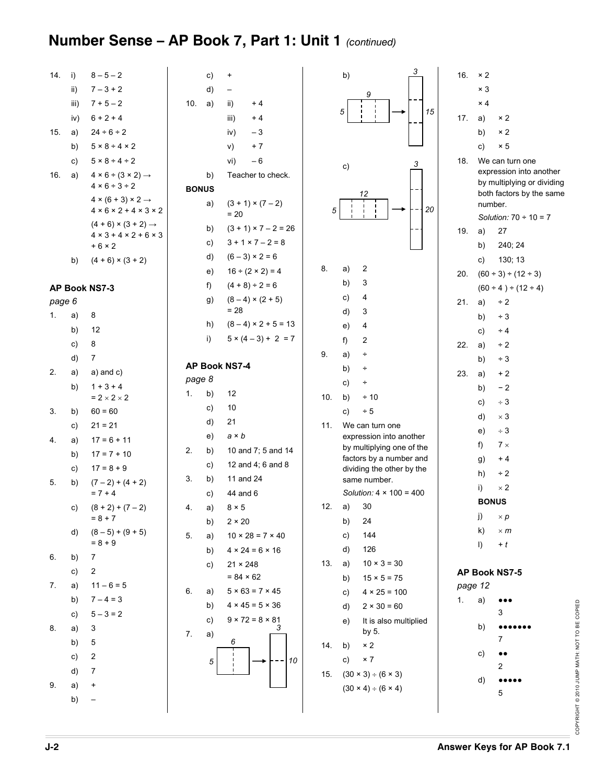## **Number Sense – AP Book 7, Part 1: Unit 1** *(continued)*

| 14.            | i)   | $8 - 5 - 2$                                                                |              | c)           | $\ddot{}$                      |     | b)           | 3                                          |     | 16. $\times 2$                                         |
|----------------|------|----------------------------------------------------------------------------|--------------|--------------|--------------------------------|-----|--------------|--------------------------------------------|-----|--------------------------------------------------------|
|                | ii)  | $7 - 3 + 2$                                                                |              | d)           |                                |     |              | 9                                          |     | $\times$ 3                                             |
|                | iii) | $7 + 5 - 2$                                                                | 10.          | a)           | $\mathsf{ii}$<br>$+4$          |     |              |                                            |     | $\times$ 4                                             |
|                | iv)  | $6 + 2 + 4$                                                                |              |              | iii)<br>$+4$                   |     | 5            | 15                                         | 17. | $\times 2$<br>a)                                       |
| 15.            | a)   | $24 \div 6 \div 2$                                                         |              |              | iv)<br>$-3$                    |     |              |                                            |     | $\times 2$<br>b)                                       |
|                | b)   | $5 \times 8 \div 4 \times 2$                                               |              |              | $+7$<br>v)                     |     |              |                                            |     | $\times 5$<br>c)                                       |
|                | c)   | $5 \times 8 \div 4 \div 2$                                                 |              |              | vi)<br>$-6$                    |     | c)           | 3                                          | 18. | We can turn one                                        |
| 16.            | a)   | $4 \times 6 \div (3 \times 2) \rightarrow$                                 |              | b)           | Teacher to check.              |     |              |                                            |     | expression into another                                |
|                |      | $4 \times 6 \div 3 \div 2$                                                 | <b>BONUS</b> |              |                                |     |              | 12                                         |     | by multiplying or dividing<br>both factors by the same |
|                |      | $4 \times (6 + 3) \times 2 \rightarrow$                                    |              | a)           | $(3 + 1) \times (7 - 2)$       |     |              | 20                                         |     | number.                                                |
|                |      | $4 \times 6 \times 2 + 4 \times 3 \times 2$                                |              |              | $= 20$                         | 5   |              |                                            |     | Solution: $70 \div 10 = 7$                             |
|                |      | $(4+6) \times (3+2) \rightarrow$<br>$4 \times 3 + 4 \times 2 + 6 \times 3$ |              | b)           | $(3 + 1) \times 7 - 2 = 26$    |     |              |                                            | 19. | 27<br>a)                                               |
|                |      | $+6 \times 2$                                                              |              | c)           | $3 + 1 \times 7 - 2 = 8$       |     |              |                                            |     | 240; 24<br>b)                                          |
|                | b)   | $(4 + 6) \times (3 + 2)$                                                   |              | d)           | $(6 - 3) \times 2 = 6$         |     |              |                                            |     | 130; 13<br>c)                                          |
|                |      |                                                                            |              | e)           | $16 \div (2 \times 2) = 4$     | 8.  | a)           | 2                                          | 20. | $(60 \div 3) \div (12 \div 3)$                         |
|                |      | AP Book NS7-3                                                              |              | f)           | $(4 + 8) \div 2 = 6$           |     | b)           | 3                                          |     | $(60 \div 4) \div (12 \div 4)$                         |
| page 6         |      |                                                                            |              | g)           | $(8-4) \times (2+5)$<br>$= 28$ |     | c)           | 4                                          | 21. | $\div$ 2<br>a)                                         |
| 1 <sub>1</sub> | a)   | 8                                                                          |              |              | $(8-4) \times 2 + 5 = 13$      |     | d)           | 3                                          |     | $\div$ 3<br>b)                                         |
|                | b)   | 12                                                                         |              | h)           |                                |     | e)           | 4                                          |     | $\div$ 4<br>c)                                         |
|                | c)   | 8                                                                          |              | i)           | $5 \times (4 - 3) + 2 = 7$     |     | f)           | 2                                          | 22. | $\div$ 2<br>a)                                         |
|                | d)   | $\overline{7}$                                                             |              |              | AP Book NS7-4                  | 9.  | a)           | ÷                                          |     | $\div$ 3<br>b)                                         |
| 2.             | a)   | $a)$ and $c)$                                                              | page 8       |              |                                |     | b)           | ÷                                          | 23. | $+2$<br>a)                                             |
|                | b)   | $1 + 3 + 4$                                                                | 1.           | b)           | 12                             |     | c)           | ÷                                          |     | $-2$<br>b)                                             |
|                |      | $= 2 \times 2 \times 2$                                                    |              | c)           | 10                             | 10. | b)           | ± 10                                       |     | $\div$ 3<br>c)                                         |
| 3.             | b)   | $60 = 60$                                                                  |              | $\mathsf{d}$ | 21                             |     | c)           | $+5$                                       |     | $\times$ 3<br>d)                                       |
|                | c)   | $21 = 21$                                                                  |              | e)           | $a \times b$                   | 11. |              | We can turn one<br>expression into another |     | $\div$ 3<br>e)                                         |
| 4.             | a)   | $17 = 6 + 11$                                                              | 2.           | b)           | 10 and 7; 5 and 14             |     |              | by multiplying one of the                  |     | f)<br>$7 \times$                                       |
|                | b)   | $17 = 7 + 10$                                                              |              | c)           | 12 and 4; 6 and 8              |     |              | factors by a number and                    |     | $+4$<br>g)                                             |
|                | c)   | $17 = 8 + 9$                                                               | 3.           | b)           | 11 and 24                      |     |              | dividing the other by the<br>same number.  |     | $\div$ 2<br>h)                                         |
| 5.             | b)   | $(7-2)+(4+2)$<br>$= 7 + 4$                                                 |              | c)           | 44 and 6                       |     |              | Solution: $4 \times 100 = 400$             |     | $\times$ 2<br>i)                                       |
|                | c)   | $(8 + 2) + (7 - 2)$                                                        | 4.           | a)           | $8 \times 5$                   | 12. | a)           | 30                                         |     | <b>BONUS</b>                                           |
|                |      | $= 8 + 7$                                                                  |              | b)           | $2 \times 20$                  |     | b)           | 24                                         |     | j)<br>$\times p$                                       |
|                | d)   | $(8-5)+(9+5)$                                                              | 5.           | a)           | $10 \times 28 = 7 \times 40$   |     | c)           | 144                                        |     | $\mathsf{k}$<br>$\times$ $m$                           |
|                |      | $= 8 + 9$                                                                  |              | b)           | $4 \times 24 = 6 \times 16$    |     | d)           | 126                                        |     | $\vert$<br>$+ t$                                       |
| 6.             | b)   | 7                                                                          |              | c)           | $21 \times 248$                | 13. | a)           | $10 \times 3 = 30$                         |     |                                                        |
|                | c)   | $\overline{c}$                                                             |              |              | $= 84 \times 62$               |     | b)           | $15 \times 5 = 75$                         |     | AP Book NS7-5                                          |
| 7.             | a)   | $11 - 6 = 5$                                                               | 6.           | a)           | $5 × 63 = 7 × 45$              |     | c)           | $4 \times 25 = 100$                        |     | page 12                                                |
|                | b)   | $7 - 4 = 3$                                                                |              | b)           | $4 \times 45 = 5 \times 36$    |     | $\mathsf{d}$ | $2 × 30 = 60$                              | 1.  | a)<br>$\bullet\bullet\bullet$                          |
|                | c)   | $5 - 3 = 2$                                                                |              | c)           | $9 \times 72 = 8 \times 81$    |     | e)           | It is also multiplied                      |     | 3                                                      |
| 8.             | a)   | 3                                                                          | 7.           | a)           | 3                              |     |              | by 5.                                      |     | b)<br><br>$\bullet\bullet$<br>7                        |
|                | b)   | 5                                                                          |              |              | 6                              | 14. | b)           | $\times 2$                                 |     |                                                        |
|                | c)   | $\overline{c}$                                                             |              | 5            | --110                          |     | c)           | $\times$ 7                                 |     | C)<br>$\bullet\,\bullet$<br>$\overline{a}$             |
|                | d)   | $\overline{7}$                                                             |              |              |                                | 15. |              | $(30 \times 3) \div (6 \times 3)$          |     | d)                                                     |
| 9.             | a)   | $\ddot{}$                                                                  |              |              |                                |     |              | $(30 \times 4) \div (6 \times 4)$          |     | 5                                                      |
|                | b)   | $\overline{\phantom{m}}$                                                   |              |              |                                |     |              |                                            |     |                                                        |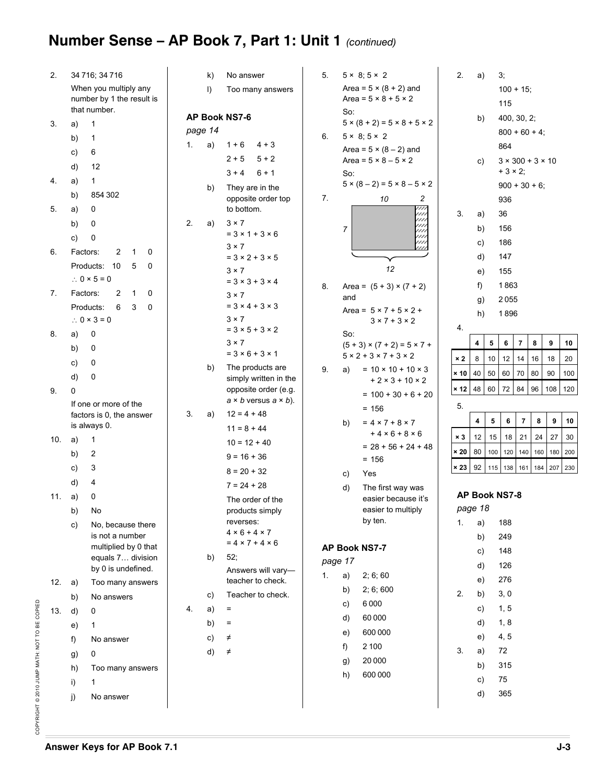## **Number Sense – AP Book 7, Part 1: Unit 1** *(continued)*

2. 34 716; 34 716 k) No answer When you multiply any l) Too many answers number by 1 the result is that number. **AP Book NS7-6**  3. a) 1 *page 14*  b) 1 1. a)  $1+6$   $4+3$  c) 6  $2 + 5$   $5 + 2$  d) 12  $3 + 4$  6 + 1 4. a) 1 b) They are in the b) 854 302 opposite order top to bottom. 5. a) 0 2. a)  $3 \times 7$  b) 0  $= 3 \times 1 + 3 \times 6$  c) 0  $3 \times 7$ 6. Factors: 2 1 0  $= 3 \times 2 + 3 \times 5$ Products: 10 5 0  $3 \times 7$  $\therefore$  0  $\times$  5 = 0  $= 3 \times 3 + 3 \times 4$ 7. Factors: 2 1 0 3 × 7  $= 3 \times 4 + 3 \times 3$  Products: 6 3 0  $\therefore$  0 × 3 = 0  $3 \times 7$  $= 3 \times 5 + 3 \times 2$ 8. a) 0  $3 \times 7$  b) 0  $= 3 \times 6 + 3 \times 1$  c) 0 b) The products are d) 0 simply written in the opposite order (e.g. 9. 0 *a* × *b* versus *a* × *b*). If one or more of the 3. a)  $12 = 4 + 48$ factors is 0, the answer is always 0.  $11 = 8 + 44$ 10. a) 1  $10 = 12 + 40$  b) 2  $9 = 16 + 36$  c) 3  $8 = 20 + 32$  d) 4  $7 = 24 + 28$ 11. a) 0 The order of the b) No products simply reverses: c) No, because there  $4 × 6 + 4 × 7$ is not a number  $= 4 \times 7 + 4 \times 6$ multiplied by 0 that equals 7… division b) 52; by 0 is undefined. Answers will vary teacher to check. 12. a) Too many answers c) Teacher to check. b) No answers  $\Omega$ 4. a)  $=$ 13. d) 0 b)  $=$  e) 1 c)  $\neq$  f) No answer d) ≠ g) 0 h) Too many answers i) 1 j) No answer

| 5.            |          | $5 \times 8$ ; $5 \times 2$<br>Area = $5 \times (8 + 2)$ and    | 2.          | a)            |     | 3,<br>$100 + 15$ ;           |     |     |     |     |
|---------------|----------|-----------------------------------------------------------------|-------------|---------------|-----|------------------------------|-----|-----|-----|-----|
|               |          | Area = $5 \times 8 + 5 \times 2$                                |             |               |     | 115                          |     |     |     |     |
|               | So:      |                                                                 |             | b)            |     | 400, 30, 2;                  |     |     |     |     |
|               |          | $5 \times (8 + 2) = 5 \times 8 + 5 \times 2$                    |             |               |     | $800 + 60 + 4$ ;             |     |     |     |     |
| 6.            |          | $5 \times 8$ ; $5 \times 2$<br>Area = $5 \times (8 - 2)$ and    |             |               |     | 864                          |     |     |     |     |
|               |          | Area = $5 \times 8 - 5 \times 2$                                |             | c)            |     | $3 \times 300 + 3 \times 10$ |     |     |     |     |
|               | So:      |                                                                 |             |               |     | $+3 \times 2$ ;              |     |     |     |     |
|               |          | $5 \times (8 - 2) = 5 \times 8 - 5 \times 2$                    |             |               |     | $900 + 30 + 6$ ;             |     |     |     |     |
| 7.            |          | 2<br>10                                                         |             |               |     | 936                          |     |     |     |     |
|               |          | 91,                                                             | 3.          | a)            |     | 36                           |     |     |     |     |
|               | 7        |                                                                 |             | b)            |     | 156                          |     |     |     |     |
|               |          |                                                                 |             | c)            |     | 186                          |     |     |     |     |
|               |          |                                                                 |             | d)            |     | 147                          |     |     |     |     |
|               |          | 12                                                              |             | e)            |     | 155                          |     |     |     |     |
| 8.            |          | Area = $(5 + 3) \times (7 + 2)$                                 |             | f)            |     | 1863                         |     |     |     |     |
|               | and      |                                                                 |             | g)            |     | 2055                         |     |     |     |     |
|               |          | Area = $5 \times 7 + 5 \times 2 +$<br>$3 \times 7 + 3 \times 2$ |             | h)            |     | 1896                         |     |     |     |     |
|               | So:      |                                                                 | 4.          |               |     |                              |     |     |     |     |
|               |          | $(5 + 3) \times (7 + 2) = 5 \times 7 +$                         |             | 4             | 5   | 6                            | 7   | 8   | 9   | 10  |
|               |          | $5 \times 2 + 3 \times 7 + 3 \times 2$                          | $\times 2$  | 8             | 10  | 12                           | 14  | 16  | 18  | 20  |
| 9.            | a)       | $= 10 \times 10 + 10 \times 3$<br>$+2 \times 3 + 10 \times 2$   | $\times 10$ | 40            | 50  | 60                           | 70  | 80  | 90  | 100 |
|               |          | $= 100 + 30 + 6 + 20$                                           | $\times$ 12 | 48            | 60  | 72                           | 84  | 96  | 108 | 120 |
|               |          | $= 156$                                                         | 5.          |               |     |                              |     |     |     |     |
|               | b)       | $= 4 \times 7 + 8 \times 7$                                     |             | 4             | 5   | 6                            | 7   | 8   | 9   | 10  |
|               |          | $+4 × 6 + 8 × 6$                                                | $\times 3$  | 12            | 15  | 18                           | 21  | 24  | 27  | 30  |
|               |          | $= 28 + 56 + 24 + 48$                                           | $\times 20$ | 80            | 100 | 120                          | 140 | 160 | 180 | 200 |
|               |          | $= 156$                                                         | × 23        | 92            | 115 | 138                          | 161 | 184 | 207 | 230 |
|               | c)       | Yes                                                             |             |               |     |                              |     |     |     |     |
|               | d)       | The first way was<br>easier because it's                        |             | AP Book NS7-8 |     |                              |     |     |     |     |
|               |          | easier to multiply                                              |             | page 18       |     |                              |     |     |     |     |
|               |          | by ten.                                                         | 1.          | a)            |     | 188                          |     |     |     |     |
|               |          |                                                                 |             | b)            |     | 249                          |     |     |     |     |
|               |          | <b>AP Book NS7-7</b>                                            |             | c)            |     | 148                          |     |     |     |     |
| page 17<br>1. |          | 2; 6; 60                                                        |             | d)            |     | 126                          |     |     |     |     |
|               | a)       |                                                                 |             | e)            |     | 276                          |     |     |     |     |
|               | b)<br>c) | 2; 6; 600<br>6000                                               | 2.          | b)            |     | 3, 0                         |     |     |     |     |
|               | d)       | 60 000                                                          |             | c)            |     | 1, 5                         |     |     |     |     |
|               |          | 600 000                                                         |             | d)            |     | 1, 8                         |     |     |     |     |
|               | e)       |                                                                 |             | e)            |     | 4, 5                         |     |     |     |     |
|               | f)       | 2 100<br>20 000                                                 | 3.          | a)            |     | 72                           |     |     |     |     |
|               | g)       |                                                                 |             | b)            |     | 315                          |     |     |     |     |
|               | h)       | 600 000                                                         |             | c)            |     | 75                           |     |     |     |     |
|               |          |                                                                 |             | d)            |     | 365                          |     |     |     |     |
|               |          |                                                                 |             |               |     |                              |     |     |     |     |

| J<br>١                             |
|------------------------------------|
| J<br>١                             |
| 그리스 그리                             |
|                                    |
| j<br>İ<br>$\overline{\phantom{a}}$ |
| $\vdots$<br>i<br>j                 |
| ē                                  |
| 3<br>in di                         |
| 6<br>d<br>ı                        |
| :<br>;<br>ı                        |
|                                    |
| $\frac{1}{2}$<br>j<br>١            |